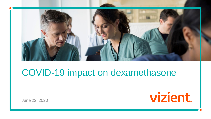

#### COVID-19 impact on dexamethasone

June 22, 2020

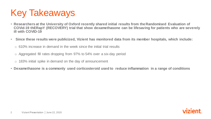## Key Takeaways

- **Researchers at the University of Oxford recently shared initial results from the Randomised Evaluation of COVid-19 thERapY (RECOVERY) trial that show dexamethasone can be lifesaving for patients who are severely ill with COVID-19**
- **Since these results were publicized, Vizient has monitored data from its member hospitals, which include:**
	- $\circ$  610% increase in demand in the week since the initial trial results
	- o Aggregated fill rates dropping from 97% to 54% over a six-day period
	- o 183% initial spike in demand on the day of announcement
- **Dexamethasone is a commonly used corticosteroid used to reduce inflammation in a range of conditions**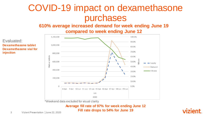### COVID-19 impact on dexamethasone purchases

**610% average increased demand for week ending June 19** 

**compared to week ending June 12**

Evaluated: **Dexamethasone tablet Dexamethasone vial for injection**



\*Weekend data excluded for visual clarity

#### **Average fill rate of 97% for week ending June 12 Fill rate drops to 54% for June 19**

vizient